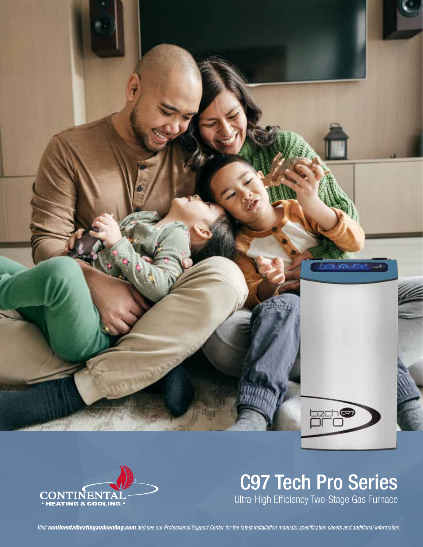



# C97 Tech Pro Series

Ultra-High Efficiency Two-Stage Gas Furnace

*Visit continentalheatingandcooling.com and see our Professional Support Center for the latest installation manuals, specification sheets and additional information.*